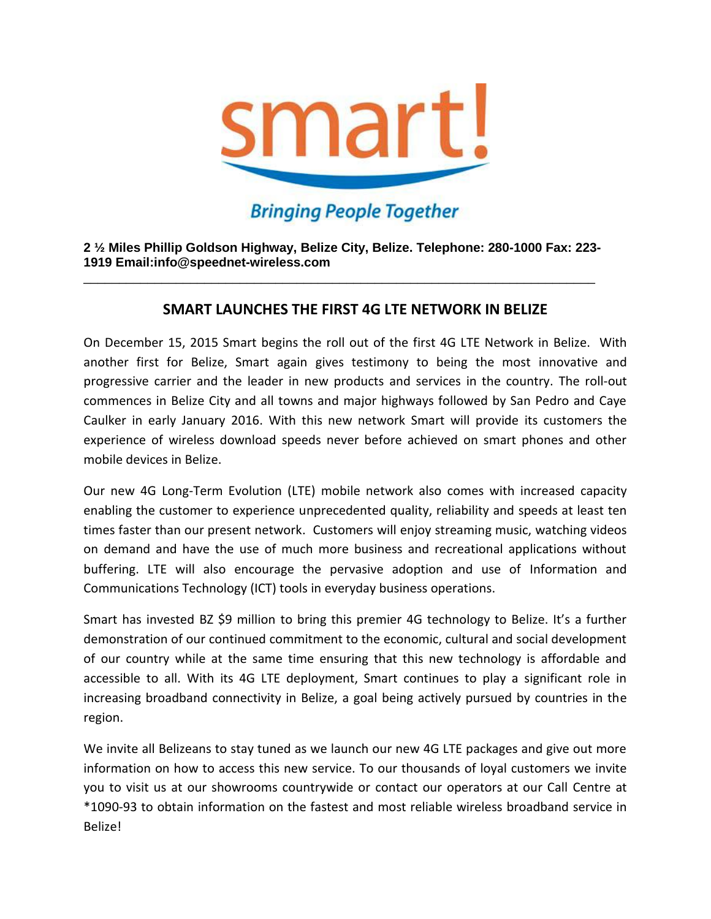

## **Bringing People Together**

**2 ½ Miles Phillip Goldson Highway, Belize City, Belize. Telephone: 280-1000 Fax: 223- 1919 Email:info@speednet-wireless.com** 

\_\_\_\_\_\_\_\_\_\_\_\_\_\_\_\_\_\_\_\_\_\_\_\_\_\_\_\_\_\_\_\_\_\_\_\_\_\_\_\_\_\_\_\_\_\_\_\_\_\_\_\_\_\_\_\_\_\_\_\_\_\_\_\_\_\_\_\_\_\_\_\_

## **SMART LAUNCHES THE FIRST 4G LTE NETWORK IN BELIZE**

On December 15, 2015 Smart begins the roll out of the first 4G LTE Network in Belize. With another first for Belize, Smart again gives testimony to being the most innovative and progressive carrier and the leader in new products and services in the country. The roll-out commences in Belize City and all towns and major highways followed by San Pedro and Caye Caulker in early January 2016. With this new network Smart will provide its customers the experience of wireless download speeds never before achieved on smart phones and other mobile devices in Belize.

Our new 4G Long-Term Evolution (LTE) mobile network also comes with increased capacity enabling the customer to experience unprecedented quality, reliability and speeds at least ten times faster than our present network. Customers will enjoy streaming music, watching videos on demand and have the use of much more business and recreational applications without buffering. LTE will also encourage the pervasive adoption and use of Information and Communications Technology (ICT) tools in everyday business operations.

Smart has invested BZ \$9 million to bring this premier 4G technology to Belize. It's a further demonstration of our continued commitment to the economic, cultural and social development of our country while at the same time ensuring that this new technology is affordable and accessible to all. With its 4G LTE deployment, Smart continues to play a significant role in increasing broadband connectivity in Belize, a goal being actively pursued by countries in the region.

We invite all Belizeans to stay tuned as we launch our new 4G LTE packages and give out more information on how to access this new service. To our thousands of loyal customers we invite you to visit us at our showrooms countrywide or contact our operators at our Call Centre at \*1090-93 to obtain information on the fastest and most reliable wireless broadband service in Belize!